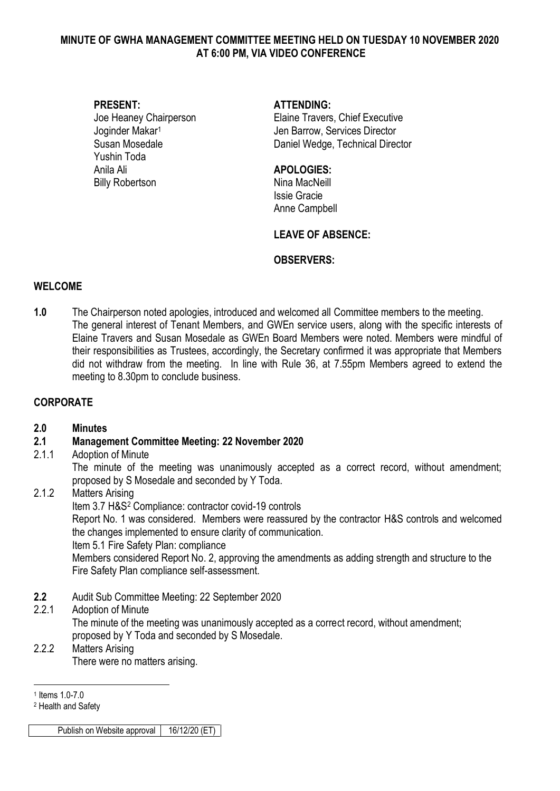#### **MINUTE OF GWHA MANAGEMENT COMMITTEE MEETING HELD ON TUESDAY 10 NOVEMBER 2020 AT 6:00 PM, VIA VIDEO CONFERENCE**

Yushin Toda Anila Ali **APOLOGIES:** Billy Robertson Nina MacNeill

#### **PRESENT: ATTENDING:**

Joe Heaney Chairperson Elaine Travers, Chief Executive Joginder Makar<sup>1</sup> New Your Den Barrow, Services Director Susan Mosedale Daniel Wedge, Technical Director

Issie Gracie Anne Campbell

## **LEAVE OF ABSENCE:**

#### **OBSERVERS:**

#### **WELCOME**

**1.0** The Chairperson noted apologies, introduced and welcomed all Committee members to the meeting. The general interest of Tenant Members, and GWEn service users, along with the specific interests of Elaine Travers and Susan Mosedale as GWEn Board Members were noted. Members were mindful of their responsibilities as Trustees, accordingly, the Secretary confirmed it was appropriate that Members did not withdraw from the meeting. In line with Rule 36, at 7.55pm Members agreed to extend the meeting to 8.30pm to conclude business.

## **CORPORATE**

## **2.0 Minutes**

## **2.1 Management Committee Meeting: 22 November 2020**

#### 2.1.1 Adoption of Minute

The minute of the meeting was unanimously accepted as a correct record, without amendment; proposed by S Mosedale and seconded by Y Toda.

## 2.1.2 Matters Arising

Item 3.7 H&S<sup>2</sup> Compliance: contractor covid-19 controls

Report No. 1 was considered. Members were reassured by the contractor H&S controls and welcomed the changes implemented to ensure clarity of communication.

#### Item 5.1 Fire Safety Plan: compliance

Members considered Report No. 2, approving the amendments as adding strength and structure to the Fire Safety Plan compliance self-assessment.

**2.2** Audit Sub Committee Meeting: 22 September 2020

#### 2.2.1 Adoption of Minute

The minute of the meeting was unanimously accepted as a correct record, without amendment; proposed by Y Toda and seconded by S Mosedale.

#### 2.2.2 Matters Arising There were no matters arising.

<u>.</u> 1 Items 1.0-7.0

<sup>2</sup> Health and Safety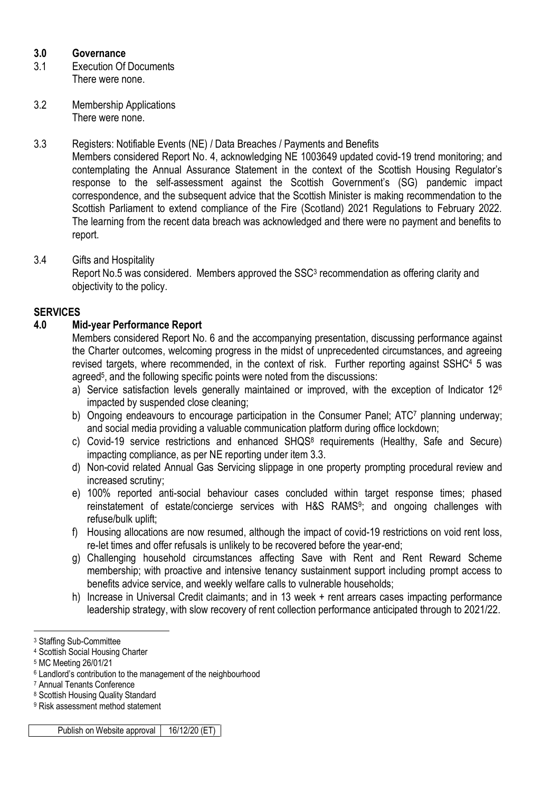## **3.0 Governance**

- 3.1 Execution Of Documents There were none.
- 3.2 Membership Applications There were none.

## 3.3 Registers: Notifiable Events (NE) / Data Breaches / Payments and Benefits

Members considered Report No. 4, acknowledging NE 1003649 updated covid-19 trend monitoring; and contemplating the Annual Assurance Statement in the context of the Scottish Housing Regulator's response to the self-assessment against the Scottish Government's (SG) pandemic impact correspondence, and the subsequent advice that the Scottish Minister is making recommendation to the Scottish Parliament to extend compliance of the Fire (Scotland) 2021 Regulations to February 2022. The learning from the recent data breach was acknowledged and there were no payment and benefits to report.

## 3.4 Gifts and Hospitality

Report No.5 was considered. Members approved the SSC<sup>3</sup> recommendation as offering clarity and objectivity to the policy.

## **SERVICES**

## **4.0 Mid-year Performance Report**

Members considered Report No. 6 and the accompanying presentation, discussing performance against the Charter outcomes, welcoming progress in the midst of unprecedented circumstances, and agreeing revised targets, where recommended, in the context of risk. Further reporting against SSHC<sup>4</sup> 5 was agreed<sup>5</sup>, and the following specific points were noted from the discussions:

- a) Service satisfaction levels generally maintained or improved, with the exception of Indicator 12<sup>6</sup> impacted by suspended close cleaning;
- b) Ongoing endeavours to encourage participation in the Consumer Panel; ATC7 planning underway; and social media providing a valuable communication platform during office lockdown;
- c) Covid-19 service restrictions and enhanced SHQS<sup>8</sup> requirements (Healthy, Safe and Secure) impacting compliance, as per NE reporting under item 3.3.
- d) Non-covid related Annual Gas Servicing slippage in one property prompting procedural review and increased scrutiny;
- e) 100% reported anti-social behaviour cases concluded within target response times; phased reinstatement of estate/concierge services with H&S RAMS<sup>9</sup>; and ongoing challenges with refuse/bulk uplift;
- f) Housing allocations are now resumed, although the impact of covid-19 restrictions on void rent loss, re-let times and offer refusals is unlikely to be recovered before the year-end;
- g) Challenging household circumstances affecting Save with Rent and Rent Reward Scheme membership; with proactive and intensive tenancy sustainment support including prompt access to benefits advice service, and weekly welfare calls to vulnerable households;
- h) Increase in Universal Credit claimants; and in 13 week + rent arrears cases impacting performance leadership strategy, with slow recovery of rent collection performance anticipated through to 2021/22.

<sup>9</sup> Risk assessment method statement

<sup>&</sup>lt;u>.</u> <sup>3</sup> Staffing Sub-Committee

<sup>4</sup> Scottish Social Housing Charter

<sup>5</sup> MC Meeting 26/01/21

<sup>6</sup> Landlord's contribution to the management of the neighbourhood

<sup>7</sup> Annual Tenants Conference

<sup>8</sup> Scottish Housing Quality Standard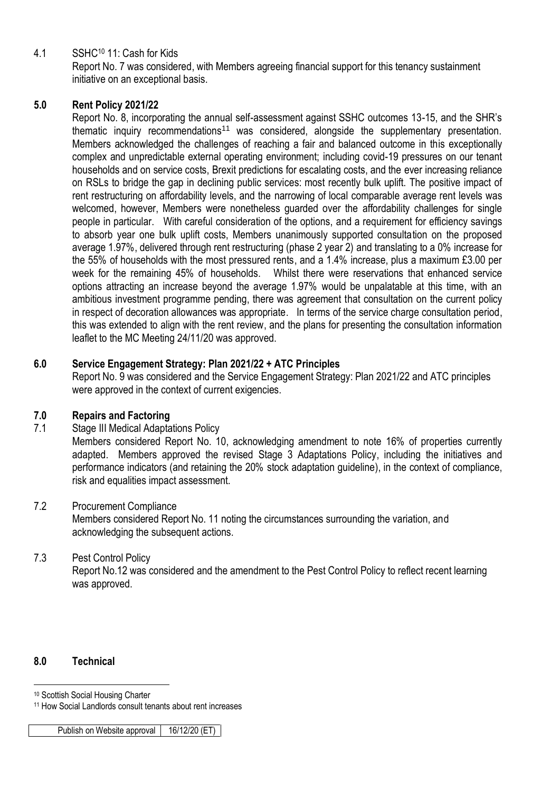4.1 SSHC<sup>10</sup> 11: Cash for Kids

Report No. 7 was considered, with Members agreeing financial support for this tenancy sustainment initiative on an exceptional basis.

## **5.0 Rent Policy 2021/22**

Report No. 8, incorporating the annual self-assessment against SSHC outcomes 13-15, and the SHR's thematic inquiry recommendations<sup>11</sup> was considered, alongside the supplementary presentation. Members acknowledged the challenges of reaching a fair and balanced outcome in this exceptionally complex and unpredictable external operating environment; including covid-19 pressures on our tenant households and on service costs, Brexit predictions for escalating costs, and the ever increasing reliance on RSLs to bridge the gap in declining public services: most recently bulk uplift. The positive impact of rent restructuring on affordability levels, and the narrowing of local comparable average rent levels was welcomed, however, Members were nonetheless guarded over the affordability challenges for single people in particular. With careful consideration of the options, and a requirement for efficiency savings to absorb year one bulk uplift costs, Members unanimously supported consultation on the proposed average 1.97%, delivered through rent restructuring (phase 2 year 2) and translating to a 0% increase for the 55% of households with the most pressured rents, and a 1.4% increase, plus a maximum £3.00 per week for the remaining 45% of households. Whilst there were reservations that enhanced service options attracting an increase beyond the average 1.97% would be unpalatable at this time, with an ambitious investment programme pending, there was agreement that consultation on the current policy in respect of decoration allowances was appropriate. In terms of the service charge consultation period, this was extended to align with the rent review, and the plans for presenting the consultation information leaflet to the MC Meeting 24/11/20 was approved.

## **6.0 Service Engagement Strategy: Plan 2021/22 + ATC Principles**

Report No. 9 was considered and the Service Engagement Strategy: Plan 2021/22 and ATC principles were approved in the context of current exigencies.

## **7.0 Repairs and Factoring**

## 7.1 Stage III Medical Adaptations Policy

Members considered Report No. 10, acknowledging amendment to note 16% of properties currently adapted. Members approved the revised Stage 3 Adaptations Policy, including the initiatives and performance indicators (and retaining the 20% stock adaptation guideline), in the context of compliance, risk and equalities impact assessment.

## 7.2 Procurement Compliance

Members considered Report No. 11 noting the circumstances surrounding the variation, and acknowledging the subsequent actions.

## 7.3 Pest Control Policy

Report No.12 was considered and the amendment to the Pest Control Policy to reflect recent learning was approved.

## **8.0 Technical**

<u>.</u>

<sup>10</sup> Scottish Social Housing Charter

<sup>11</sup> How Social Landlords consult tenants about rent increases